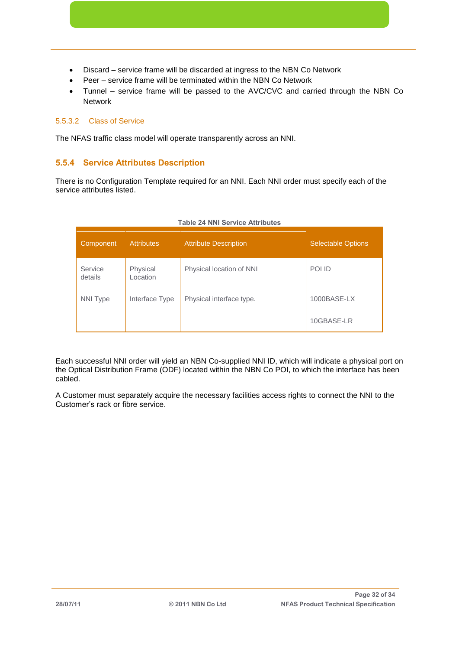- Discard service frame will be discarded at ingress to the NBN Co Network
- Peer service frame will be terminated within the NBN Co Network
- Tunnel service frame will be passed to the AVC/CVC and carried through the NBN Co Network

### 5.5.3.2 Class of Service

The NFAS traffic class model will operate transparently across an NNI.

### **5.5.4 Service Attributes Description**

There is no Configuration Template required for an NNI. Each NNI order must specify each of the service attributes listed.

| Component          | <b>Attributes</b>    | <b>Attribute Description</b> | <b>Selectable Options</b> |
|--------------------|----------------------|------------------------------|---------------------------|
| Service<br>details | Physical<br>Location | Physical location of NNI     | POI ID                    |
| <b>NNI Type</b>    | Interface Type       | Physical interface type.     | 1000BASE-LX               |
|                    |                      |                              | 10GBASE-LR                |

#### **Table 24 NNI Service Attributes**

Each successful NNI order will yield an NBN Co-supplied NNI ID, which will indicate a physical port on the Optical Distribution Frame (ODF) located within the NBN Co POI, to which the interface has been cabled.

A Customer must separately acquire the necessary facilities access rights to connect the NNI to the Customer's rack or fibre service.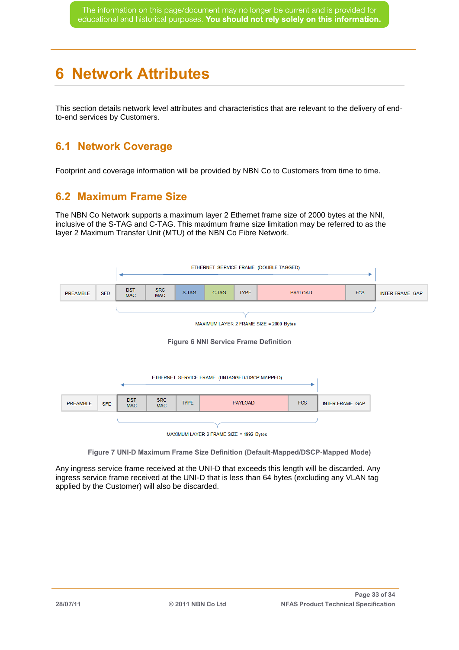# **6 Network Attributes**

This section details network level attributes and characteristics that are relevant to the delivery of endto-end services by Customers.

### **6.1 Network Coverage**

Footprint and coverage information will be provided by NBN Co to Customers from time to time.

### **6.2 Maximum Frame Size**

The NBN Co Network supports a maximum layer 2 Ethernet frame size of 2000 bytes at the NNI, inclusive of the S-TAG and C-TAG. This maximum frame size limitation may be referred to as the layer 2 Maximum Transfer Unit (MTU) of the NBN Co Fibre Network.



**Figure 7 UNI-D Maximum Frame Size Definition (Default-Mapped/DSCP-Mapped Mode)** 

Any ingress service frame received at the UNI-D that exceeds this length will be discarded. Any ingress service frame received at the UNI-D that is less than 64 bytes (excluding any VLAN tag applied by the Customer) will also be discarded.